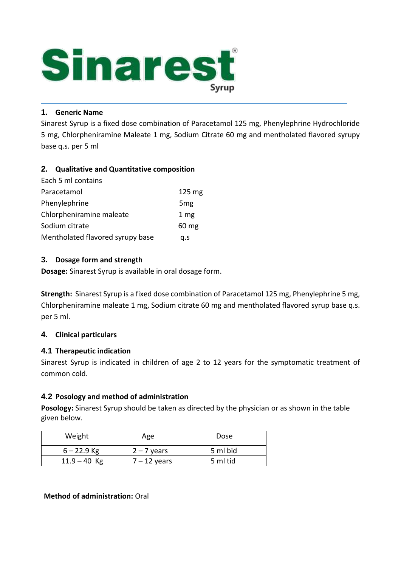

## **1. Generic Name**

Sinarest Syrup is a fixed dose combination of Paracetamol 125 mg, Phenylephrine Hydrochloride 5 mg, Chlorpheniramine Maleate 1 mg, Sodium Citrate 60 mg and mentholated flavored syrupy base q.s. per 5 ml

## **2. Qualitative and Quantitative composition**

| Each 5 ml contains               |                  |
|----------------------------------|------------------|
| Paracetamol                      | $125 \text{ mg}$ |
| Phenylephrine                    | 5 <sub>mg</sub>  |
| Chlorpheniramine maleate         | 1 <sub>mg</sub>  |
| Sodium citrate                   | $60 \text{ mg}$  |
| Mentholated flavored syrupy base | a.s              |

## **3. Dosage form and strength**

**Dosage:** Sinarest Syrup is available in oral dosage form.

**Strength:** Sinarest Syrup is a fixed dose combination of Paracetamol 125 mg, Phenylephrine 5 mg, Chlorpheniramine maleate 1 mg, Sodium citrate 60 mg and mentholated flavored syrup base q.s. per 5 ml.

## **4. Clinical particulars**

## **4.1 Therapeutic indication**

Sinarest Syrup is indicated in children of age 2 to 12 years for the symptomatic treatment of common cold.

## **4.2 Posology and method of administration**

**Posology:** Sinarest Syrup should be taken as directed by the physician or as shown in the table given below.

| Weight         | Age            | Dose     |
|----------------|----------------|----------|
| $6 - 22.9$ Kg  | $2 - 7$ years  | 5 ml bid |
| $11.9 - 40$ Kg | $7 - 12$ years | 5 ml tid |

## **Method of administration:** Oral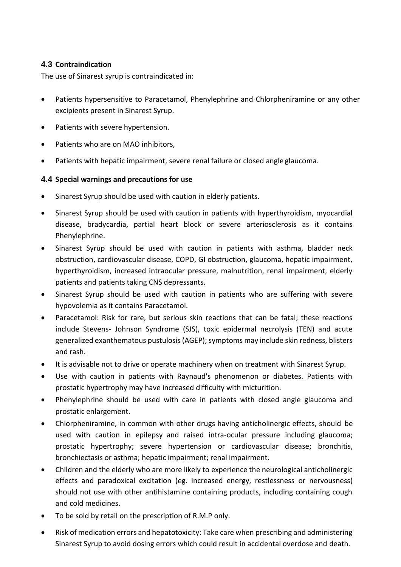## **4.3 Contraindication**

The use of Sinarest syrup is contraindicated in:

- Patients hypersensitive to Paracetamol, Phenylephrine and Chlorpheniramine or any other excipients present in Sinarest Syrup.
- Patients with severe hypertension.
- Patients who are on MAO inhibitors,
- Patients with hepatic impairment, severe renal failure or closed angle glaucoma.

## **4.4 Special warnings and precautions for use**

- Sinarest Syrup should be used with caution in elderly patients.
- Sinarest Syrup should be used with caution in patients with hyperthyroidism, myocardial disease, bradycardia, partial heart block or severe arteriosclerosis as it contains Phenylephrine.
- Sinarest Syrup should be used with caution in patients with asthma, bladder neck obstruction, cardiovascular disease, COPD, GI obstruction, glaucoma, hepatic impairment, hyperthyroidism, increased intraocular pressure, malnutrition, renal impairment, elderly patients and patients taking CNS depressants.
- Sinarest Syrup should be used with caution in patients who are suffering with severe hypovolemia as it contains Paracetamol.
- Paracetamol: Risk for rare, but serious skin reactions that can be fatal; these reactions include Stevens- Johnson Syndrome (SJS), toxic epidermal necrolysis (TEN) and acute generalized exanthematous pustulosis (AGEP); symptoms may include skin redness, blisters and rash.
- It is advisable not to drive or operate machinery when on treatment with Sinarest Syrup.
- Use with caution in patients with Raynaud's phenomenon or diabetes. Patients with prostatic hypertrophy may have increased difficulty with micturition.
- Phenylephrine should be used with care in patients with closed angle glaucoma and prostatic enlargement.
- Chlorpheniramine, in common with other drugs having anticholinergic effects, should be used with caution in epilepsy and raised intra-ocular pressure including glaucoma; prostatic hypertrophy; severe hypertension or cardiovascular disease; bronchitis, bronchiectasis or asthma; hepatic impairment; renal impairment.
- Children and the elderly who are more likely to experience the neurological anticholinergic effects and paradoxical excitation (eg. increased energy, restlessness or nervousness) should not use with other antihistamine containing products, including containing cough and cold medicines.
- To be sold by retail on the prescription of R.M.P only.
- Risk of medication errors and hepatotoxicity: Take care when prescribing and administering Sinarest Syrup to avoid dosing errors which could result in accidental overdose and death.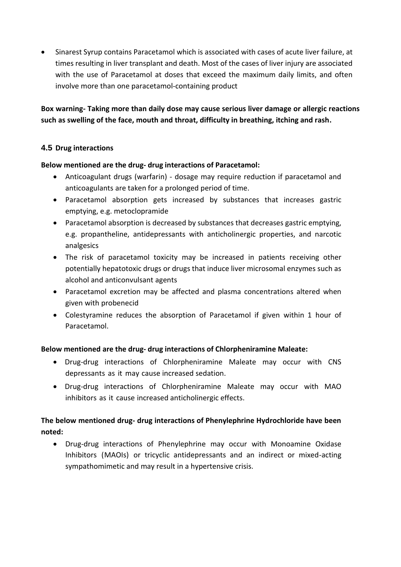Sinarest Syrup contains Paracetamol which is associated with cases of acute liver failure, at times resulting in liver transplant and death. Most of the cases of liver injury are associated with the use of Paracetamol at doses that exceed the maximum daily limits, and often involve more than one paracetamol-containing product

**Box warning- Taking more than daily dose may cause serious liver damage or allergic reactions such as swelling of the face, mouth and throat, difficulty in breathing, itching and rash.**

# **4.5 Drug interactions**

## **Below mentioned are the drug- drug interactions of Paracetamol:**

- Anticoagulant drugs (warfarin) dosage may require reduction if paracetamol and anticoagulants are taken for a prolonged period of time.
- Paracetamol absorption gets increased by substances that increases gastric emptying, e.g. metoclopramide
- Paracetamol absorption is decreased by substances that decreases gastric emptying, e.g. propantheline, antidepressants with anticholinergic properties, and narcotic analgesics
- The risk of paracetamol toxicity may be increased in patients receiving other potentially hepatotoxic drugs or drugs that induce liver microsomal enzymes such as alcohol and anticonvulsant agents
- Paracetamol excretion may be affected and plasma concentrations altered when given with probenecid
- Colestyramine reduces the absorption of Paracetamol if given within 1 hour of Paracetamol.

## **Below mentioned are the drug- drug interactions of Chlorpheniramine Maleate:**

- Drug-drug interactions of Chlorpheniramine Maleate may occur with CNS depressants as it may cause increased sedation.
- Drug-drug interactions of Chlorpheniramine Maleate may occur with MAO inhibitors as it cause increased anticholinergic effects.

# **The below mentioned drug- drug interactions of Phenylephrine Hydrochloride have been noted:**

 Drug-drug interactions of Phenylephrine may occur with Monoamine Oxidase Inhibitors (MAOIs) or tricyclic antidepressants and an indirect or mixed-acting sympathomimetic and may result in a hypertensive crisis.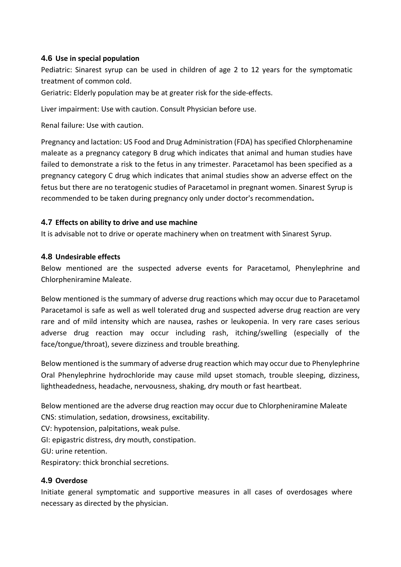## **4.6 Use in special population**

Pediatric: Sinarest syrup can be used in children of age 2 to 12 years for the symptomatic treatment of common cold.

Geriatric: Elderly population may be at greater risk for the side-effects.

Liver impairment: Use with caution. Consult Physician before use.

Renal failure: Use with caution.

Pregnancy and lactation: US Food and Drug Administration (FDA) has specified Chlorphenamine maleate as a pregnancy category B drug which indicates that animal and human studies have failed to demonstrate a risk to the fetus in any trimester. Paracetamol has been specified as a pregnancy category C drug which indicates that animal studies show an adverse effect on the fetus but there are no teratogenic studies of Paracetamol in pregnant women. Sinarest Syrup is recommended to be taken during pregnancy only under doctor's recommendation**.**

## **4.7 Effects on ability to drive and use machine**

It is advisable not to drive or operate machinery when on treatment with Sinarest Syrup.

## **4.8 Undesirable effects**

Below mentioned are the suspected adverse events for Paracetamol, Phenylephrine and Chlorpheniramine Maleate.

Below mentioned is the summary of adverse drug reactions which may occur due to Paracetamol Paracetamol is safe as well as well tolerated drug and suspected adverse drug reaction are very rare and of mild intensity which are nausea, rashes or leukopenia. In very rare cases serious adverse drug reaction may occur including rash, itching/swelling (especially of the face/tongue/throat), severe dizziness and trouble breathing.

Below mentioned is the summary of adverse drug reaction which may occur due to Phenylephrine Oral Phenylephrine hydrochloride may cause mild upset stomach, trouble sleeping, dizziness, lightheadedness, headache, nervousness, shaking, dry mouth or fast heartbeat.

Below mentioned are the adverse drug reaction may occur due to Chlorpheniramine Maleate CNS: stimulation, sedation, drowsiness, excitability.

CV: hypotension, palpitations, weak pulse.

GI: epigastric distress, dry mouth, constipation.

GU: urine retention.

Respiratory: thick bronchial secretions.

# **4.9 Overdose**

Initiate general symptomatic and supportive measures in all cases of overdosages where necessary as directed by the physician.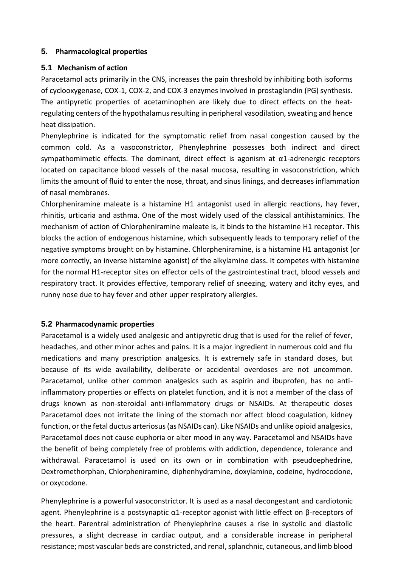#### **5. Pharmacological properties**

#### **5.1 Mechanism of action**

Paracetamol acts primarily in the CNS, increases the pain threshold by inhibiting both isoforms of cyclooxygenase, COX-1, COX-2, and COX-3 enzymes involved in prostaglandin (PG) synthesis. The antipyretic properties of acetaminophen are likely due to direct effects on the heatregulating centers of the hypothalamus resulting in peripheral vasodilation, sweating and hence heat dissipation.

Phenylephrine is indicated for the symptomatic relief from nasal congestion caused by the common cold. As a vasoconstrictor, Phenylephrine possesses both indirect and direct sympathomimetic effects. The dominant, direct effect is agonism at  $\alpha$ 1-adrenergic receptors located on capacitance blood vessels of the nasal mucosa, resulting in vasoconstriction, which limits the amount of fluid to enter the nose, throat, and sinus linings, and decreases inflammation of nasal membranes.

Chlorpheniramine maleate is a histamine H1 antagonist used in allergic reactions, hay fever, rhinitis, urticaria and asthma. One of the most widely used of the classical antihistaminics. The mechanism of action of Chlorpheniramine maleate is, it binds to the histamine H1 receptor. This blocks the action of endogenous histamine, which subsequently leads to temporary relief of the negative symptoms brought on by histamine. Chlorpheniramine, is a histamine H1 antagonist (or more correctly, an inverse histamine agonist) of the alkylamine class. It competes with histamine for the normal H1-receptor sites on effector cells of the gastrointestinal tract, blood vessels and respiratory tract. It provides effective, temporary relief of sneezing, watery and itchy eyes, and runny nose due to hay fever and other upper respiratory allergies.

## **5.2 Pharmacodynamic properties**

Paracetamol is a widely used analgesic and antipyretic drug that is used for the relief of fever, headaches, and other minor aches and pains. It is a major ingredient in numerous cold and flu medications and many prescription analgesics. It is extremely safe in standard doses, but because of its wide availability, deliberate or accidental overdoses are not uncommon. Paracetamol, unlike other common analgesics such as aspirin and ibuprofen, has no antiinflammatory properties or effects on platelet function, and it is not a member of the class of drugs known as non-steroidal anti-inflammatory drugs or NSAIDs. At therapeutic doses Paracetamol does not irritate the lining of the stomach nor affect blood coagulation, kidney function, or the fetal ductus arteriosus (as NSAIDs can). Like NSAIDs and unlike opioid analgesics, Paracetamol does not cause euphoria or alter mood in any way. Paracetamol and NSAIDs have the benefit of being completely free of problems with addiction, dependence, tolerance and withdrawal. Paracetamol is used on its own or in combination with pseudoephedrine, Dextromethorphan, Chlorpheniramine, diphenhydramine, doxylamine, codeine, hydrocodone, or oxycodone.

Phenylephrine is a powerful vasoconstrictor. It is used as a nasal decongestant and cardiotonic agent. Phenylephrine is a postsynaptic α1-receptor agonist with little effect on β-receptors of the heart. Parentral administration of Phenylephrine causes a rise in systolic and diastolic pressures, a slight decrease in cardiac output, and a considerable increase in peripheral resistance; most vascular beds are constricted, and renal, splanchnic, cutaneous, and limb blood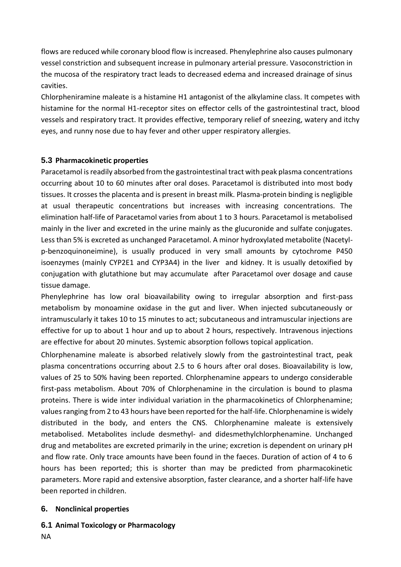flows are reduced while coronary blood flow is increased. Phenylephrine also causes pulmonary vessel constriction and subsequent increase in pulmonary arterial pressure. Vasoconstriction in the mucosa of the respiratory tract leads to decreased edema and increased drainage of sinus cavities.

Chlorpheniramine maleate is a histamine H1 antagonist of the alkylamine class. It competes with histamine for the normal H1-receptor sites on effector cells of the gastrointestinal tract, blood vessels and respiratory tract. It provides effective, temporary relief of sneezing, watery and itchy eyes, and runny nose due to hay fever and other upper respiratory allergies.

## **5.3 Pharmacokinetic properties**

Paracetamol is readily absorbed from the gastrointestinal tract with peak plasma concentrations occurring about 10 to 60 minutes after oral doses. Paracetamol is distributed into most body tissues. It crosses the placenta and is present in breast milk. Plasma-protein binding is negligible at usual therapeutic concentrations but increases with increasing concentrations. The elimination half-life of Paracetamol varies from about 1 to 3 hours. Paracetamol is metabolised mainly in the liver and excreted in the urine mainly as the glucuronide and sulfate conjugates. Less than 5% is excreted as unchanged Paracetamol. A minor hydroxylated metabolite (Nacetylp-benzoquinoneimine), is usually produced in very small amounts by cytochrome P450 isoenzymes (mainly CYP2E1 and CYP3A4) in the liver and kidney. It is usually detoxified by conjugation with glutathione but may accumulate after Paracetamol over dosage and cause tissue damage.

Phenylephrine has low oral bioavailability owing to irregular absorption and first-pass metabolism by monoamine oxidase in the gut and liver. When injected subcutaneously or intramuscularly it takes 10 to 15 minutes to act; subcutaneous and intramuscular injections are effective for up to about 1 hour and up to about 2 hours, respectively. Intravenous injections are effective for about 20 minutes. Systemic absorption follows topical application.

Chlorphenamine maleate is absorbed relatively slowly from the gastrointestinal tract, peak plasma concentrations occurring about 2.5 to 6 hours after oral doses. Bioavailability is low, values of 25 to 50% having been reported. Chlorphenamine appears to undergo considerable first-pass metabolism. About 70% of Chlorphenamine in the circulation is bound to plasma proteins. There is wide inter individual variation in the pharmacokinetics of Chlorphenamine; values ranging from 2 to 43 hours have been reported for the half-life. Chlorphenamine is widely distributed in the body, and enters the CNS. Chlorphenamine maleate is extensively metabolised. Metabolites include desmethyl- and didesmethylchlorphenamine. Unchanged drug and metabolites are excreted primarily in the urine; excretion is dependent on urinary pH and flow rate. Only trace amounts have been found in the faeces. Duration of action of 4 to 6 hours has been reported; this is shorter than may be predicted from pharmacokinetic parameters. More rapid and extensive absorption, faster clearance, and a shorter half-life have been reported in children.

## **6. Nonclinical properties**

**6.1 Animal Toxicology or Pharmacology**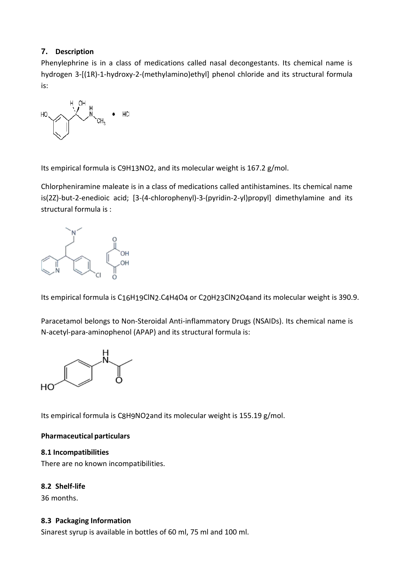# **7. Description**

Phenylephrine is in a class of medications called nasal decongestants. Its chemical name is hydrogen 3-[(1R)-1-hydroxy-2-(methylamino)ethyl] phenol chloride and its structural formula is:

$$
\mathsf{HO} \underbrace{\hspace{1cm}}_{\mathsf{H}_1 \hspace{1cm} \mathsf{O}\mathsf{H}}\mathsf{H}_1 \mathsf{C}\mathsf{H}_3 \bullet \mathsf{H}_4
$$

Its empirical formula [is C9H13NO2,](https://pubchem.ncbi.nlm.nih.gov/#query%3DC9H13NO2) and its molecular weight is 167.2 g/mol.

Chlorpheniramine maleate is in a class of medications called antihistamines. Its chemical name is(2Z)-but-2-enedioic acid; [3-(4-chlorophenyl)-3-(pyridin-2-yl)propyl] dimethylamine and its structural formula is :



Its empirical formula is C16H19ClN2.C4H4O4 or C20H23ClN2O4and its molecular weight is 390.9.

Paracetamol belongs to Non-Steroidal Anti-inflammatory Drugs (NSAIDs). Its chemical name is N-acetyl-para-aminophenol (APAP) and its structural formula is:



Its empirical formula i[s C8H9NO2a](https://pubchem.ncbi.nlm.nih.gov/#query%3DC8H9NO2)nd its molecular weight is 155.19 g/mol.

## **Pharmaceutical particulars**

#### **8.1 Incompatibilities**

There are no known incompatibilities.

## **8.2 Shelf-life**

36 months.

#### **8.3 Packaging Information**

Sinarest syrup is available in bottles of 60 ml, 75 ml and 100 ml.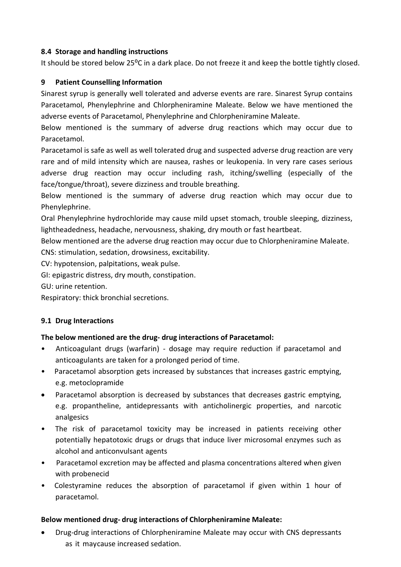## **8.4 Storage and handling instructions**

It should be stored below 25<sup>o</sup>C in a dark place. Do not freeze it and keep the bottle tightly closed.

## **9 Patient Counselling Information**

Sinarest syrup is generally well tolerated and adverse events are rare. Sinarest Syrup contains Paracetamol, Phenylephrine and Chlorpheniramine Maleate. Below we have mentioned the adverse events of Paracetamol, Phenylephrine and Chlorpheniramine Maleate.

Below mentioned is the summary of adverse drug reactions which may occur due to Paracetamol.

Paracetamol is safe as well as well tolerated drug and suspected adverse drug reaction are very rare and of mild intensity which are nausea, rashes or leukopenia. In very rare cases serious adverse drug reaction may occur including rash, itching/swelling (especially of the face/tongue/throat), severe dizziness and trouble breathing.

Below mentioned is the summary of adverse drug reaction which may occur due to Phenylephrine.

Oral Phenylephrine hydrochloride may cause mild upset stomach, trouble sleeping, dizziness, lightheadedness, headache, nervousness, shaking, dry mouth or fast heartbeat.

Below mentioned are the adverse drug reaction may occur due to Chlorpheniramine Maleate. CNS: stimulation, sedation, drowsiness, excitability.

CV: hypotension, palpitations, weak pulse.

GI: epigastric distress, dry mouth, constipation.

GU: urine retention.

Respiratory: thick bronchial secretions.

## **9.1 Drug Interactions**

## **The below mentioned are the drug- drug interactions of Paracetamol:**

- Anticoagulant drugs (warfarin) dosage may require reduction if paracetamol and anticoagulants are taken for a prolonged period of time.
- Paracetamol absorption gets increased by substances that increases gastric emptying, e.g. metoclopramide
- Paracetamol absorption is decreased by substances that decreases gastric emptying, e.g. propantheline, antidepressants with anticholinergic properties, and narcotic analgesics
- The risk of paracetamol toxicity may be increased in patients receiving other potentially hepatotoxic drugs or drugs that induce liver microsomal enzymes such as alcohol and anticonvulsant agents
- Paracetamol excretion may be affected and plasma concentrations altered when given with probenecid
- Colestyramine reduces the absorption of paracetamol if given within 1 hour of paracetamol.

#### **Below mentioned drug- drug interactions of Chlorpheniramine Maleate:**

 Drug-drug interactions of Chlorpheniramine Maleate may occur with CNS depressants as it maycause increased sedation.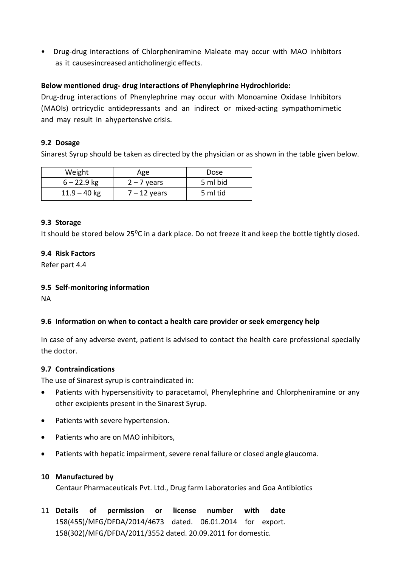• Drug-drug interactions of Chlorpheniramine Maleate may occur with MAO inhibitors as it causesincreased anticholinergic effects.

#### **Below mentioned drug- drug interactions of Phenylephrine Hydrochloride:**

Drug-drug interactions of Phenylephrine may occur with Monoamine Oxidase Inhibitors (MAOIs) ortricyclic antidepressants and an indirect or mixed-acting sympathomimetic and may result in ahypertensive crisis.

#### **9.2 Dosage**

Sinarest Syrup should be taken as directed by the physician or as shown in the table given below.

| Weight         | Age            | Dose     |
|----------------|----------------|----------|
| $6 - 22.9$ kg  | $2 - 7$ years  | 5 ml bid |
| $11.9 - 40$ kg | $7 - 12$ years | 5 ml tid |

#### **9.3 Storage**

It should be stored below 25<sup>o</sup>C in a dark place. Do not freeze it and keep the bottle tightly closed.

#### **9.4 Risk Factors**

Refer part 4.4

#### **9.5 Self-monitoring information**

NA

## **9.6 Information on when to contact a health care provider or seek emergency help**

In case of any adverse event, patient is advised to contact the health care professional specially the doctor.

#### **9.7 Contraindications**

The use of Sinarest syrup is contraindicated in:

- Patients with hypersensitivity to paracetamol, Phenylephrine and Chlorpheniramine or any other excipients present in the Sinarest Syrup.
- Patients with severe hypertension.
- Patients who are on MAO inhibitors,
- Patients with hepatic impairment, severe renal failure or closed angle glaucoma.

#### **10 Manufactured by**

Centaur Pharmaceuticals Pvt. Ltd., Drug farm Laboratories and Goa Antibiotics

11 **Details of permission or license number with date**  158(455)/MFG/DFDA/2014/4673 dated. 06.01.2014 for export. 158(302)/MFG/DFDA/2011/3552 dated. 20.09.2011 for domestic.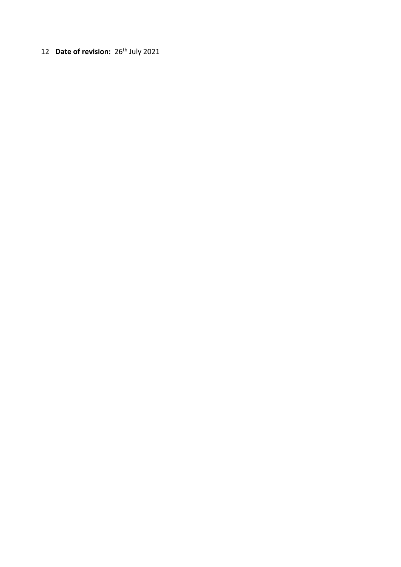12 **Date of revision:** 26<sup>th</sup> July 2021